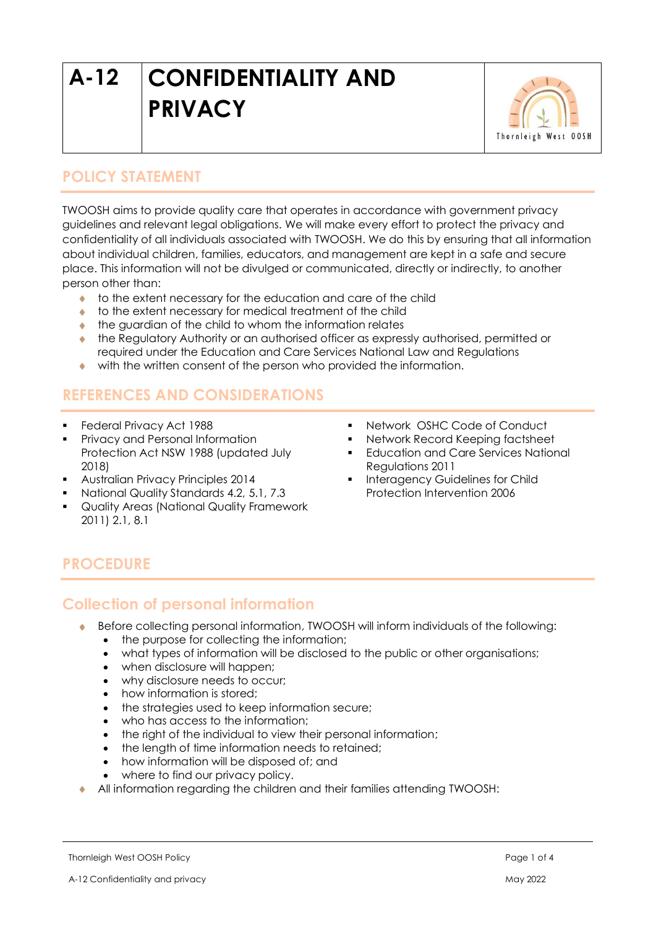# **A-12 CONFIDENTIALITY AND PRIVACY**



## **POLICY STATEMENT**

TWOOSH aims to provide quality care that operates in accordance with government privacy guidelines and relevant legal obligations. We will make every effort to protect the privacy and confidentiality of all individuals associated with TWOOSH. We do this by ensuring that all information about individual children, families, educators, and management are kept in a safe and secure place. This information will not be divulged or communicated, directly or indirectly, to another person other than:

- to the extent necessary for the education and care of the child
- to the extent necessary for medical treatment of the child
- $\bullet$  the guardian of the child to whom the information relates
- the Regulatory Authority or an authorised officer as expressly authorised, permitted or required under the Education and Care Services National Law and Regulations
- with the written consent of the person who provided the information.

## **REFERENCES AND CONSIDERATIONS**

- Federal Privacy Act 1988
- **Privacy and Personal Information** Protection Act NSW 1988 (updated July 2018)
- Australian Privacy Principles 2014
- National Quality Standards 4.2, 5.1, 7.3
- Quality Areas (National Quality Framework 2011) 2.1, 8.1
- Network OSHC Code of Conduct
- Network Record Keeping factsheet
- **Education and Care Services National** Regulations 2011
- Interagency Guidelines for Child Protection Intervention 2006

## **PROCEDURE**

#### **Collection of personal information**

- Before collecting personal information, TWOOSH will inform individuals of the following:
	- the purpose for collecting the information;
	- what types of information will be disclosed to the public or other organisations;
	- when disclosure will happen;
	- why disclosure needs to occur;
	- how information is stored:
	- the strategies used to keep information secure;
	- who has access to the information:
	- the right of the individual to view their personal information;
	- the length of time information needs to retained;
	- how information will be disposed of; and
	- where to find our privacy policy.
- All information regarding the children and their families attending TWOOSH: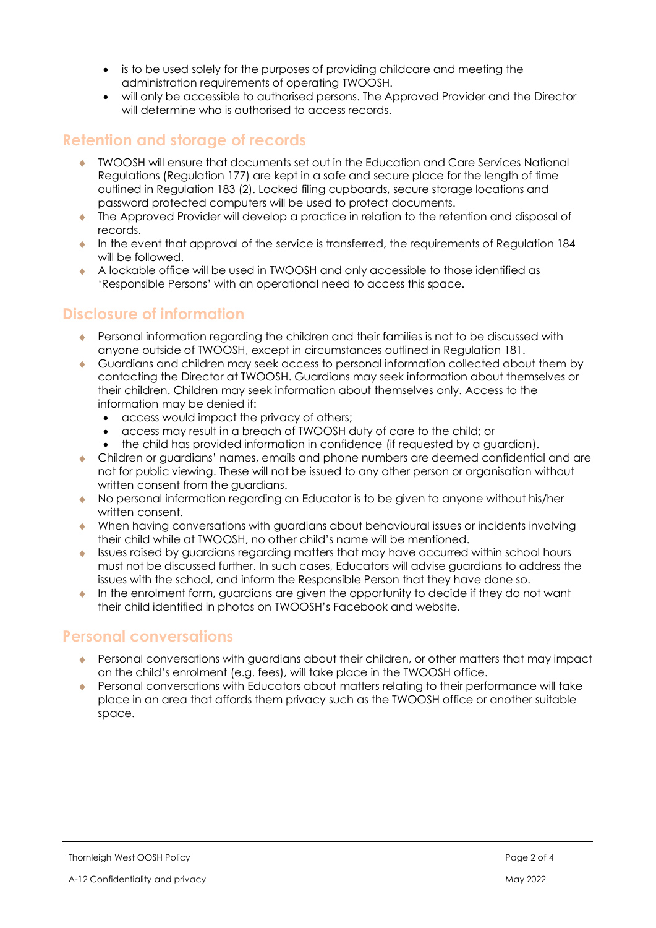- is to be used solely for the purposes of providing childcare and meeting the administration requirements of operating TWOOSH.
- will only be accessible to authorised persons. The Approved Provider and the Director will determine who is authorised to access records.

#### **Retention and storage of records**

- TWOOSH will ensure that documents set out in the Education and Care Services National Regulations (Regulation 177) are kept in a safe and secure place for the length of time outlined in Regulation 183 (2). Locked filing cupboards, secure storage locations and password protected computers will be used to protect documents.
- The Approved Provider will develop a practice in relation to the retention and disposal of records.
- In the event that approval of the service is transferred, the requirements of Regulation  $184$ will be followed.
- A lockable office will be used in TWOOSH and only accessible to those identified as 'Responsible Persons' with an operational need to access this space.

#### **Disclosure of information**

- Personal information regarding the children and their families is not to be discussed with anyone outside of TWOOSH, except in circumstances outlined in Regulation 181.
- Guardians and children may seek access to personal information collected about them by contacting the Director at TWOOSH. Guardians may seek information about themselves or their children. Children may seek information about themselves only. Access to the information may be denied if:
	- access would impact the privacy of others;
	- access may result in a breach of TWOOSH duty of care to the child; or
	- the child has provided information in confidence (if requested by a guardian).
- Children or guardians' names, emails and phone numbers are deemed confidential and are not for public viewing. These will not be issued to any other person or organisation without written consent from the guardians.
- No personal information regarding an Educator is to be given to anyone without his/her written consent.
- When having conversations with guardians about behavioural issues or incidents involving their child while at TWOOSH, no other child's name will be mentioned.
- Issues raised by guardians regarding matters that may have occurred within school hours must not be discussed further. In such cases, Educators will advise guardians to address the issues with the school, and inform the Responsible Person that they have done so.
- In the enrolment form, guardians are given the opportunity to decide if they do not want their child identified in photos on TWOOSH's Facebook and website.

## **Personal conversations**

- Personal conversations with guardians about their children, or other matters that may impact on the child's enrolment (e.g. fees), will take place in the TWOOSH office.
- Personal conversations with Educators about matters relating to their performance will take place in an area that affords them privacy such as the TWOOSH office or another suitable space.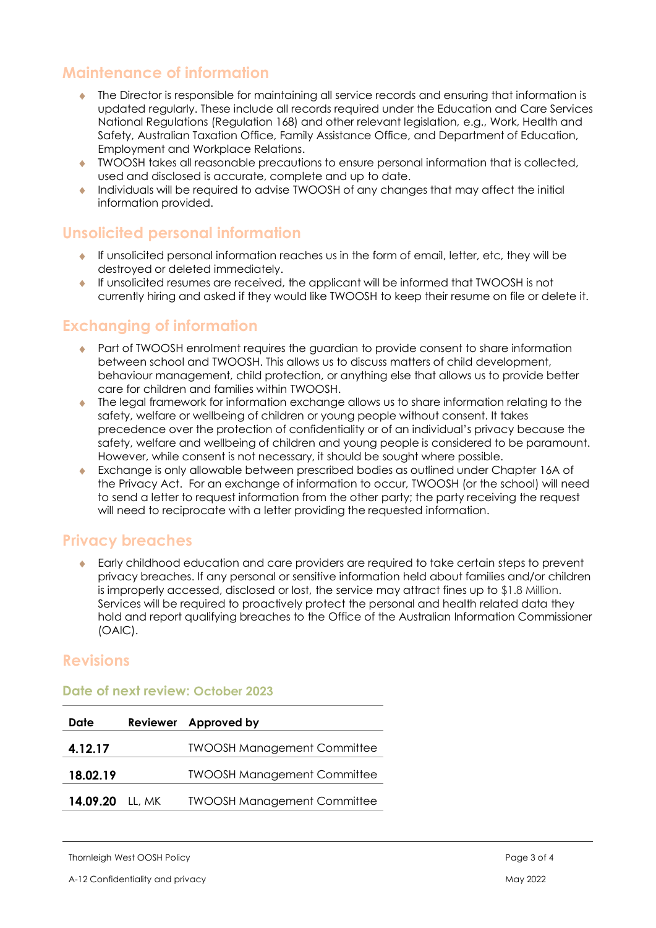## **Maintenance of information**

- The Director is responsible for maintaining all service records and ensuring that information is updated regularly. These include all records required under the Education and Care Services National Regulations (Regulation 168) and other relevant legislation, e.g., Work, Health and Safety, Australian Taxation Office, Family Assistance Office, and Department of Education, Employment and Workplace Relations.
- TWOOSH takes all reasonable precautions to ensure personal information that is collected, used and disclosed is accurate, complete and up to date.
- Individuals will be required to advise TWOOSH of any changes that may affect the initial information provided.

## **Unsolicited personal information**

- $\bullet$  If unsolicited personal information reaches us in the form of email, letter, etc, they will be destroyed or deleted immediately.
- If unsolicited resumes are received, the applicant will be informed that TWOOSH is not currently hiring and asked if they would like TWOOSH to keep their resume on file or delete it.

## **Exchanging of information**

- Part of TWOOSH enrolment requires the guardian to provide consent to share information between school and TWOOSH. This allows us to discuss matters of child development, behaviour management, child protection, or anything else that allows us to provide better care for children and families within TWOOSH.
- The legal framework for information exchange allows us to share information relating to the safety, welfare or wellbeing of children or young people without consent. It takes precedence over the protection of confidentiality or of an individual's privacy because the safety, welfare and wellbeing of children and young people is considered to be paramount. However, while consent is not necessary, it should be sought where possible.
- Exchange is only allowable between prescribed bodies as outlined under Chapter 16A of the Privacy Act. For an exchange of information to occur, TWOOSH (or the school) will need to send a letter to request information from the other party; the party receiving the request will need to reciprocate with a letter providing the requested information.

## **Privacy breaches**

 Early childhood education and care providers are required to take certain steps to prevent privacy breaches. If any personal or sensitive information held about families and/or children is improperly accessed, disclosed or lost, the service may attract fines up to \$1.8 Million. Services will be required to proactively protect the personal and health related data they hold and report qualifying breaches to the Office of the Australian Information Commissioner (OAIC).

#### **Revisions**

#### **Date of next review: October 2023**

| Date     |        | Reviewer Approved by               |
|----------|--------|------------------------------------|
| 4.12.17  |        | <b>TWOOSH Management Committee</b> |
| 18.02.19 |        | <b>TWOOSH Management Committee</b> |
| 14.09.20 | LL, MK | <b>TWOOSH Management Committee</b> |

Thornleigh West OOSH Policy **Page 3 of 4** and 2008 Page 3 of 4